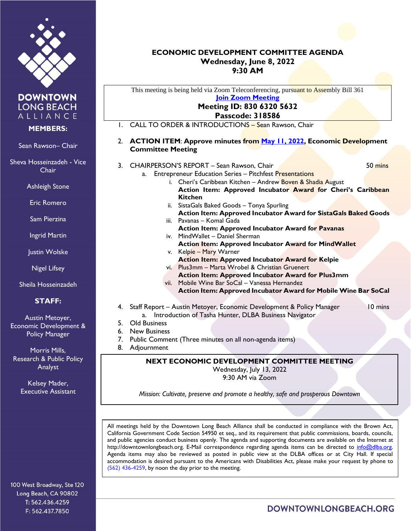

**DOWNTOWN LONG BEACH** ALLIANCE

## **MEMBERS:**

Sean Rawson– Chair

Sheva Hosseinzadeh - Vice Chair

Ashleigh Stone

Eric Romero

Sam Pierzina

Ingrid Martin

Justin Wolske

Nigel Lifsey

Sheila Hosseinzadeh

## **STAFF:**

Austin Metoyer, Economic Development & **Policy Manager** 

Morris Mills, Research & Public Policy Analyst

> Kelsey Mader, Executive Assistant

100 West Broadway, Ste 120 Long Beach, CA 90802 T: 562.436.4259 F: 562.437.7850

## **ECONOMIC DEVELOPMENT COMMITTEE AGENDA Wednesday, June 8, 2022 9:30 AM**

This meeting is being held via Zoom Teleconferencing, pursuant to Assembly Bill 361

**[Join Zoom Meeting](https://us02web.zoom.us/j/83063205632?pwd=MHVNTVM3RGpYRlV6NzZWTk9TYzludz09) Meeting ID: 830 6320 5632 Passcode: 318586** 1. CALL TO ORDER & INTRODUCTIONS – Sean Rawson, Chair 2. **ACTION ITEM**: **Approve minutes from [May 11, 2022,](https://downtownlongbeach.org/wp-content/uploads/ED-Minutes-5-11-22-F.pdf) Economic Development Committee Meeting** 3. CHAIRPERSON'S REPORT – Sean Rawson, Chair 50 mins 50 mins a. Entrepreneur Education Series – Pitchfest Presentations i. Cheri's Caribbean Kitchen – Andrew Boven & Shadia August **Action Item: Approved Incubator Award for Cheri's Caribbean Kitchen**  ii. SistaGals Baked Goods – Tonya Spurling **Action Item: Approved Incubator Award for SistaGals Baked Goods** iii. Pavanas – Komal Gada **Action Item: Approved Incubator Award for Pavanas** iv. MindWallet – Daniel Sherman **Action Item: Approved Incubator Award for MindWallet** v. Kelpie – Mary Warner **Action Item: Approved Incubator Award for Kelpie** vi. Plus3mm – Marta Wrobel & Christian Gruenert **Action Item: Approved Incubator Award for Plus3mm** vii. Mobile Wine Bar SoCal – Vanessa Hernandez **Action Item: Approved Incubator Award for Mobile Wine Bar SoCal** 4. Staff Report – Austin Metoyer, Economic Development & Policy Manager 10 mins a. Introduction of Tasha Hunter, DLBA Business Navigator 5. Old Business 6. New Business 7. Public Comment (Three minutes on all non-agenda items) 8. Adjournment **NEXT ECONOMIC DEVELOPMENT COMMITTEE MEETING** Wednesday, July 13, 2022 9:30 AM via Zoom

*Mission: Cultivate, preserve and promote a healthy, safe and prosperous Downtown*

All meetings held by the Downtown Long Beach Alliance shall be conducted in compliance with the Brown Act, California Government Code Section 54950 et seq., and its requirement that public commissions, boards, councils, and public agencies conduct business openly. The agenda and supporting documents are available on the Internet at http://downtownlongbeach.org. E-Mail correspondence regarding agenda items can be directed to info@dlba.org. Agenda items may also be reviewed as posted in public view at the DLBA offices or at City Hall. If special accommodation is desired pursuant to the Americans with Disabilities Act, please make your request by phone to (562) 436-4259, by noon the day prior to the meeting.